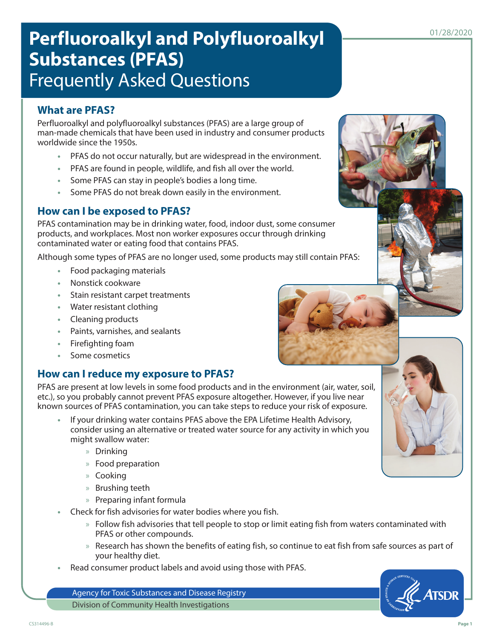# Perfluoroalkyl and Polyfluoroalkyl **Perfluoroalkyl Substances (PFAS)** Frequently Asked Questions

## **What are PFAS?**

Perfluoroalkyl and polyfluoroalkyl substances (PFAS) are a large group of man-made chemicals that have been used in industry and consumer products worldwide since the 1950s.

- **•** PFAS do not occur naturally, but are widespread in the environment.
- **•** PFAS are found in people, wildlife, and fish all over the world.
- **•** Some PFAS can stay in people's bodies a long time.
- **•** Some PFAS do not break down easily in the environment.

#### **How can I be exposed to PFAS?**

PFAS contamination may be in drinking water, food, indoor dust, some consumer products, and workplaces. Most non worker exposures occur through drinking contaminated water or eating food that contains PFAS.

Although some types of PFAS are no longer used, some products may still contain PFAS:

- **•** Food packaging materials
- **•** Nonstick cookware
- **•** Stain resistant carpet treatments
- **•** Water resistant clothing
- **•** Cleaning products
- **•** Paints, varnishes, and sealants
- **•** Firefighting foam
- **•** Some cosmetics

#### **How can I reduce my exposure to PFAS?**

PFAS are present at low levels in some food products and in the environment (air, water, soil, etc.), so you probably cannot prevent PFAS exposure altogether. However, if you live near known sources of PFAS contamination, you can take steps to reduce your risk of exposure.

- **•** If your drinking water contains PFAS above the EPA Lifetime Health Advisory, consider using an alternative or treated water source for any activity in which you might swallow water:
	- » Drinking
	- » Food preparation
	- » Cooking
	- » Brushing teeth
	- » Preparing infant formula
- **•** Check for fish advisories for water bodies where you fish.
	- » Follow fish advisories that tell people to stop or limit eating fish from waters contaminated with PFAS or other compounds.
	- » Research has shown the benefits of eating fish, so continue to eat fish from safe sources as part of your healthy diet.
- **•** Read consumer product labels and avoid using those with PFAS.

Agency for Toxic Substances and Disease Registry Division of Community Health Investigations